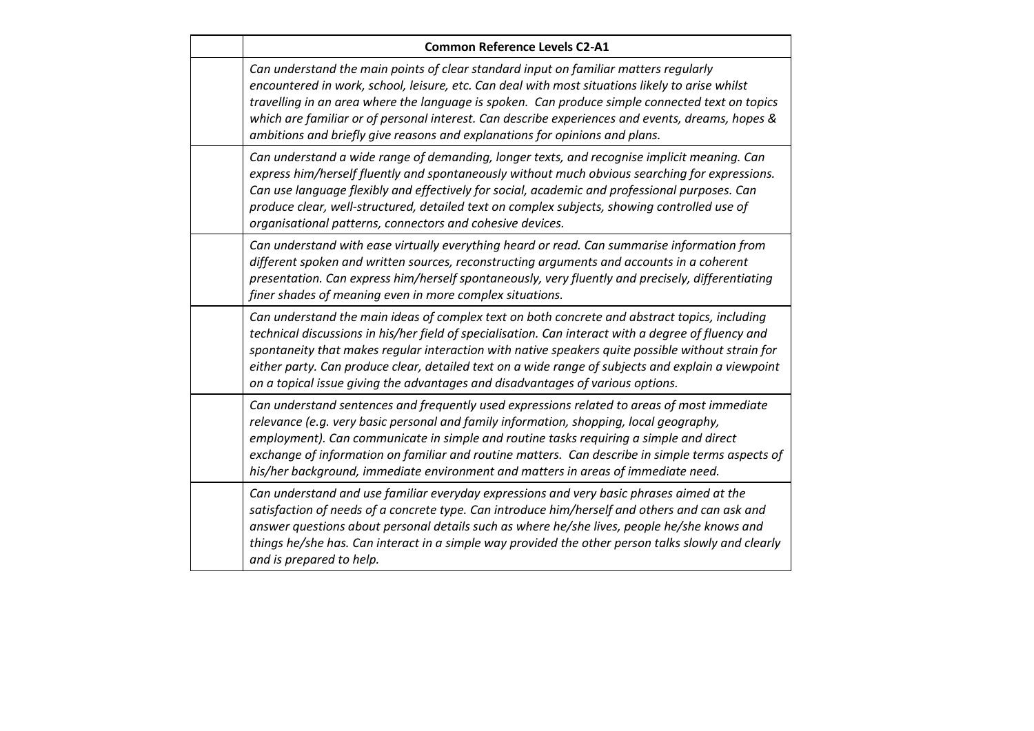| <b>Common Reference Levels C2-A1</b>                                                                                                                                                                                                                                                                                                                                                                                                                                                              |
|---------------------------------------------------------------------------------------------------------------------------------------------------------------------------------------------------------------------------------------------------------------------------------------------------------------------------------------------------------------------------------------------------------------------------------------------------------------------------------------------------|
| Can understand the main points of clear standard input on familiar matters regularly<br>encountered in work, school, leisure, etc. Can deal with most situations likely to arise whilst<br>travelling in an area where the language is spoken. Can produce simple connected text on topics<br>which are familiar or of personal interest. Can describe experiences and events, dreams, hopes &<br>ambitions and briefly give reasons and explanations for opinions and plans.                     |
| Can understand a wide range of demanding, longer texts, and recognise implicit meaning. Can<br>express him/herself fluently and spontaneously without much obvious searching for expressions.<br>Can use language flexibly and effectively for social, academic and professional purposes. Can<br>produce clear, well-structured, detailed text on complex subjects, showing controlled use of<br>organisational patterns, connectors and cohesive devices.                                       |
| Can understand with ease virtually everything heard or read. Can summarise information from<br>different spoken and written sources, reconstructing arguments and accounts in a coherent<br>presentation. Can express him/herself spontaneously, very fluently and precisely, differentiating<br>finer shades of meaning even in more complex situations.                                                                                                                                         |
| Can understand the main ideas of complex text on both concrete and abstract topics, including<br>technical discussions in his/her field of specialisation. Can interact with a degree of fluency and<br>spontaneity that makes regular interaction with native speakers quite possible without strain for<br>either party. Can produce clear, detailed text on a wide range of subjects and explain a viewpoint<br>on a topical issue giving the advantages and disadvantages of various options. |
| Can understand sentences and frequently used expressions related to areas of most immediate<br>relevance (e.g. very basic personal and family information, shopping, local geography,<br>employment). Can communicate in simple and routine tasks requiring a simple and direct<br>exchange of information on familiar and routine matters. Can describe in simple terms aspects of<br>his/her background, immediate environment and matters in areas of immediate need.                          |
| Can understand and use familiar everyday expressions and very basic phrases aimed at the<br>satisfaction of needs of a concrete type. Can introduce him/herself and others and can ask and<br>answer questions about personal details such as where he/she lives, people he/she knows and<br>things he/she has. Can interact in a simple way provided the other person talks slowly and clearly<br>and is prepared to help.                                                                       |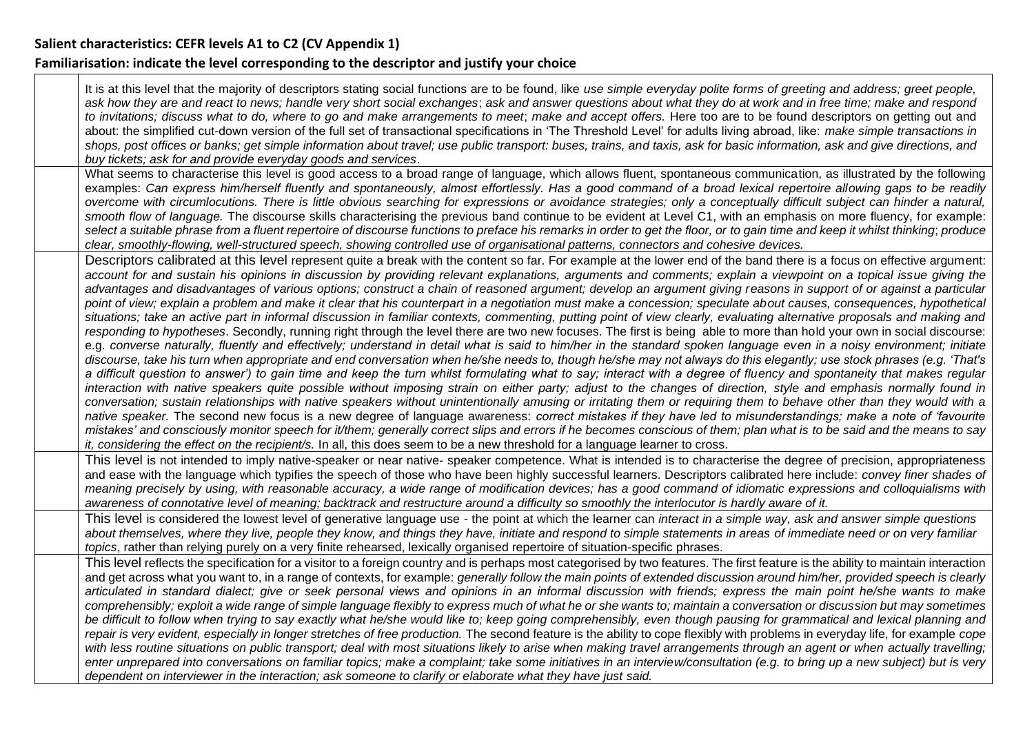## **Salient characteristics: CEFR levels A1 to C2 (CV Appendix 1)**

## **Familiarisation: indicate the level corresponding to the descriptor and justify your choice**

It is at this level that the majority of descriptors stating social functions are to be found, like *use simple everyday polite forms of greeting and address; greet people*, *ask how they are and react to news; handle very short social exchanges*; *ask and answer questions about what they do at work and in free time; make and respond to invitations; discuss what to do, where to go and make arrangements to meet*; *make and accept offers.* Here too are to be found descriptors on getting out and about: the simplified cut-down version of the full set of transactional specifications in 'The Threshold Level' for adults living abroad, like: *make simple transactions in shops, post offices or banks; get simple information about travel; use public transport: buses, trains, and taxis, ask for basic information, ask and give directions, and buy tickets; ask for and provide everyday goods and services*. What seems to characterise this level is good access to a broad range of language, which allows fluent, spontaneous communication, as illustrated by the following examples: *Can express him/herself fluently and spontaneously, almost effortlessly. Has a good command of a broad lexical repertoire allowing gaps to be readily overcome with circumlocutions. There is little obvious searching for expressions or avoidance strategies; only a conceptually difficult subject can hinder a natural, smooth flow of language.* The discourse skills characterising the previous band continue to be evident at Level C1, with an emphasis on more fluency, for example: *select a suitable phrase from a fluent repertoire of discourse functions to preface his remarks in order to get the floor, or to gain time and keep it whilst thinking*; *produce clear, smoothly-flowing, well-structured speech, showing controlled use of organisational patterns, connectors and cohesive devices.* Descriptors calibrated at this level represent quite a break with the content so far. For example at the lower end of the band there is a focus on effective argument: *account for and sustain his opinions in discussion by providing relevant explanations, arguments and comments; explain a viewpoint on a topical issue giving the advantages and disadvantages of various options; construct a chain of reasoned argument; develop an argument giving reasons in support of or against a particular*  point of view; explain a problem and make it clear that his counterpart in a negotiation must make a concession; speculate about causes, consequences, hypothetical situations; take an active part in informal discussion in familiar contexts, commenting, putting point of view clearly, evaluating alternative proposals and making and *responding to hypotheses*. Secondly, running right through the level there are two new focuses. The first is being able to more than hold your own in social discourse: e.g. converse naturally, fluently and effectively; understand in detail what is said to him/her in the standard spoken language even in a noisy environment; initiate *discourse, take his turn when appropriate and end conversation when he/she needs to, though he/she may not always do this elegantly; use stock phrases (e.g. 'That's a difficult question to answer') to gain time and keep the turn whilst formulating what to say; interact with a degree of fluency and spontaneity that makes regular interaction with native speakers quite possible without imposing strain on either party; adjust to the changes of direction, style and emphasis normally found in conversation; sustain relationships with native speakers without unintentionally amusing or irritating them or requiring them to behave other than they would with a native speaker.* The second new focus is a new degree of language awareness: *correct mistakes if they have led to misunderstandings; make a note of 'favourite mistakes' and consciously monitor speech for it/them; generally correct slips and errors if he becomes conscious of them; plan what is to be said and the means to say it, considering the effect on the recipient/s.* In all, this does seem to be a new threshold for a language learner to cross. This level is not intended to imply native-speaker or near native- speaker competence. What is intended is to characterise the degree of precision, appropriateness and ease with the language which typifies the speech of those who have been highly successful learners. Descriptors calibrated here include: *convey finer shades of meaning precisely by using, with reasonable accuracy, a wide range of modification devices; has a good command of idiomatic expressions and colloquialisms with awareness of connotative level of meaning; backtrack and restructure around a difficulty so smoothly the interlocutor is hardly aware of it.* This level is considered the lowest level of generative language use - the point at which the learner can *interact in a simple way, ask and answer simple questions about themselves, where they live, people they know, and things they have, initiate and respond to simple statements in areas of immediate need or on very familiar topics*, rather than relying purely on a very finite rehearsed, lexically organised repertoire of situation-specific phrases. This level reflects the specification for a visitor to a foreign country and is perhaps most categorised by two features. The first feature is the ability to maintain interaction and get across what you want to, in a range of contexts, for example: *generally follow the main points of extended discussion around him/her, provided speech is clearly articulated in standard dialect; give or seek personal views and opinions in an informal discussion with friends; express the main point he/she wants to make comprehensibly; exploit a wide range of simple language flexibly to express much of what he or she wants to; maintain a conversation or discussion but may sometimes*  be difficult to follow when trying to say exactly what he/she would like to; keep going comprehensibly, even though pausing for grammatical and lexical planning and *repair is very evident, especially in longer stretches of free production.* The second feature is the ability to cope flexibly with problems in everyday life, for example *cope*  with less routine situations on public transport; deal with most situations likely to arise when making travel arrangements through an agent or when actually travelling; *enter unprepared into conversations on familiar topics; make a complaint; take some initiatives in an interview/consultation (e.g. to bring up a new subject) but is very dependent on interviewer in the interaction; ask someone to clarify or elaborate what they have just said.*